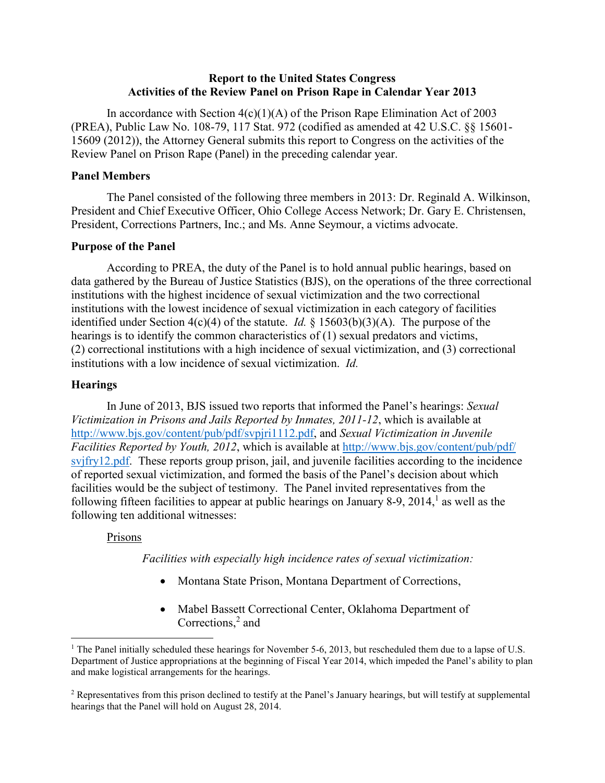## **Report to the United States Congress Activities of the Review Panel on Prison Rape in Calendar Year 2013**

In accordance with Section  $4(c)(1)(A)$  of the Prison Rape Elimination Act of 2003 (PREA), Public Law No. 108-79, 117 Stat. 972 (codified as amended at 42 U.S.C. §§ 15601- 15609 (2012)), the Attorney General submits this report to Congress on the activities of the Review Panel on Prison Rape (Panel) in the preceding calendar year.

### **Panel Members**

The Panel consisted of the following three members in 2013: Dr. Reginald A. Wilkinson, President and Chief Executive Officer, Ohio College Access Network; Dr. Gary E. Christensen, President, Corrections Partners, Inc.; and Ms. Anne Seymour, a victims advocate.

### **Purpose of the Panel**

According to PREA, the duty of the Panel is to hold annual public hearings, based on data gathered by the Bureau of Justice Statistics (BJS), on the operations of the three correctional institutions with the highest incidence of sexual victimization and the two correctional institutions with the lowest incidence of sexual victimization in each category of facilities identified under Section 4(c)(4) of the statute. *Id.* § 15603(b)(3)(A). The purpose of the hearings is to identify the common characteristics of (1) sexual predators and victims, (2) correctional institutions with a high incidence of sexual victimization, and (3) correctional institutions with a low incidence of sexual victimization. *Id.*

## **Hearings**

In June of 2013, BJS issued two reports that informed the Panel's hearings: *Sexual Victimization in Prisons and Jails Reported by Inmates, 2011-12*, which is available at http://www.bjs.gov/content/pub/pdf/svpjri1112.pdf, and *Sexual Victimization in Juvenile Facilities Reported by Youth, 2012*, which is available at http://www.bjs.gov/content/pub/pdf/ svjfry12.pdf. These reports group prison, jail, and juvenile facilities according to the incidence of reported sexual victimization, and formed the basis of the Panel's decision about which facilities would be the subject of testimony. The Panel invited representatives from the following fifteen facilities to appear at public hearings on January 8-9, 2014, $<sup>1</sup>$  as well as the</sup> following ten additional witnesses:

## Prisons

l

*Facilities with especially high incidence rates of sexual victimization:*

- Montana State Prison, Montana Department of Corrections,
- Mabel Bassett Correctional Center, Oklahoma Department of Corrections, 2 and

<sup>&</sup>lt;sup>1</sup> The Panel initially scheduled these hearings for November 5-6, 2013, but rescheduled them due to a lapse of U.S. Department of Justice appropriations at the beginning of Fiscal Year 2014, which impeded the Panel's ability to plan and make logistical arrangements for the hearings.

<sup>&</sup>lt;sup>2</sup> Representatives from this prison declined to testify at the Panel's January hearings, but will testify at supplemental hearings that the Panel will hold on August 28, 2014.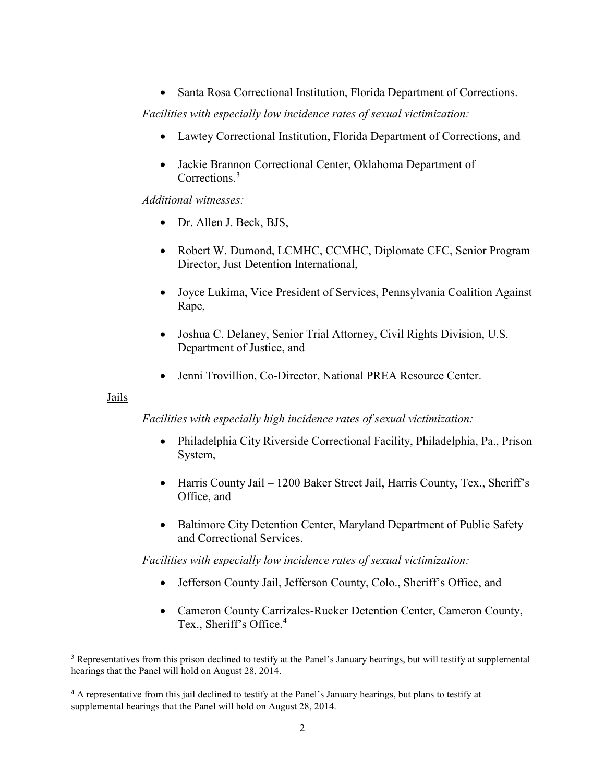Santa Rosa Correctional Institution, Florida Department of Corrections.

*Facilities with especially low incidence rates of sexual victimization:*

- Lawtey Correctional Institution, Florida Department of Corrections, and
- Jackie Brannon Correctional Center, Oklahoma Department of Corrections. 3

*Additional witnesses:*

- Dr. Allen J. Beck, BJS,
- Robert W. Dumond, LCMHC, CCMHC, Diplomate CFC, Senior Program Director, Just Detention International,
- Joyce Lukima, Vice President of Services, Pennsylvania Coalition Against Rape,
- Joshua C. Delaney, Senior Trial Attorney, Civil Rights Division, U.S. Department of Justice, and
- Jenni Trovillion, Co-Director, National PREA Resource Center.

### Jails

 $\overline{a}$ 

*Facilities with especially high incidence rates of sexual victimization:*

- Philadelphia City Riverside Correctional Facility, Philadelphia, Pa., Prison System,
- Harris County Jail 1200 Baker Street Jail, Harris County, Tex., Sheriff's Office, and
- Baltimore City Detention Center, Maryland Department of Public Safety and Correctional Services.

*Facilities with especially low incidence rates of sexual victimization:*

- Jefferson County Jail, Jefferson County, Colo., Sheriff's Office, and
- Cameron County Carrizales-Rucker Detention Center, Cameron County, Tex., Sheriff's Office. 4

<sup>&</sup>lt;sup>3</sup> Representatives from this prison declined to testify at the Panel's January hearings, but will testify at supplemental hearings that the Panel will hold on August 28, 2014.

<sup>4</sup> A representative from this jail declined to testify at the Panel's January hearings, but plans to testify at supplemental hearings that the Panel will hold on August 28, 2014.